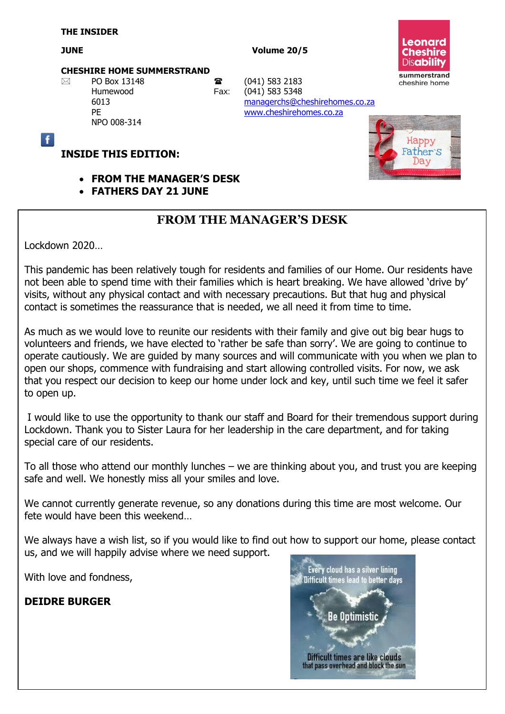#### **JUNE** Volume 20/5



#### **CHESHIRE HOME SUMMERSTRAND**

NPO 008-314

 $\boxtimes$  PO Box 13148 **a** (041) 583 2183 Humewood Fax: (041) 583 5348 6013 [managerchs@cheshirehomes.co.za](mailto:managerchs@cheshirehomes.co.za) PE [www.cheshirehomes.co.za](http://www.cheshirehomes.co.za/)



#### **INSIDE THIS EDITION:**

- **FROM THE MANAGER'S DESK**
- **FATHERS DAY 21 JUNE**

## **FROM THE MANAGER'S DESK**

Lockdown 2020…

 $\overline{f}$ 

This pandemic has been relatively tough for residents and families of our Home. Our residents have not been able to spend time with their families which is heart breaking. We have allowed 'drive by' visits, without any physical contact and with necessary precautions. But that hug and physical contact is sometimes the reassurance that is needed, we all need it from time to time.

As much as we would love to reunite our residents with their family and give out big bear hugs to volunteers and friends, we have elected to 'rather be safe than sorry'. We are going to continue to operate cautiously. We are guided by many sources and will communicate with you when we plan to open our shops, commence with fundraising and start allowing controlled visits. For now, we ask that you respect our decision to keep our home under lock and key, until such time we feel it safer to open up.

I would like to use the opportunity to thank our staff and Board for their tremendous support during Lockdown. Thank you to Sister Laura for her leadership in the care department, and for taking special care of our residents.

To all those who attend our monthly lunches – we are thinking about you, and trust you are keeping safe and well. We honestly miss all your smiles and love.

We cannot currently generate revenue, so any donations during this time are most welcome. Our fete would have been this weekend…

We always have a wish list, so if you would like to find out how to support our home, please contact us, and we will happily advise where we need support.

With love and fondness,

#### **DEIDRE BURGER**

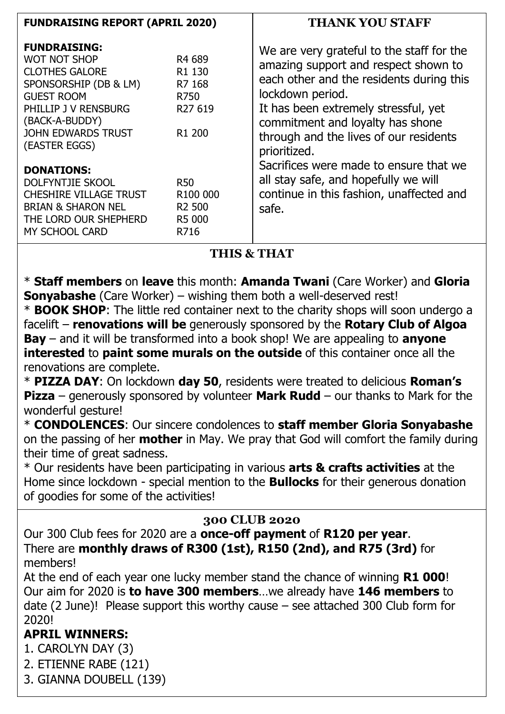| <b>FUNDRAISING REPORT (APRIL 2020)</b>                                                                                                                                                                    |                                                                                                         | <b>THANK YOU STAFF</b>                                                                                                                                                                                                                                                                                                                                                                                                         |
|-----------------------------------------------------------------------------------------------------------------------------------------------------------------------------------------------------------|---------------------------------------------------------------------------------------------------------|--------------------------------------------------------------------------------------------------------------------------------------------------------------------------------------------------------------------------------------------------------------------------------------------------------------------------------------------------------------------------------------------------------------------------------|
| <b>FUNDRAISING:</b><br><b>WOT NOT SHOP</b><br><b>CLOTHES GALORE</b><br>SPONSORSHIP (DB & LM)<br><b>GUEST ROOM</b><br>PHILLIP J V RENSBURG<br>(BACK-A-BUDDY)<br><b>JOHN EDWARDS TRUST</b><br>(EASTER EGGS) | R <sub>4</sub> 689<br>R <sub>1</sub> 130<br>R7 168<br>R750<br>R <sub>27</sub> 619<br>R <sub>1</sub> 200 | We are very grateful to the staff for the<br>amazing support and respect shown to<br>each other and the residents during this<br>lockdown period.<br>It has been extremely stressful, yet<br>commitment and loyalty has shone<br>through and the lives of our residents<br>prioritized.<br>Sacrifices were made to ensure that we<br>all stay safe, and hopefully we will<br>continue in this fashion, unaffected and<br>safe. |
| <b>DONATIONS:</b><br><b>DOLFYNTJIE SKOOL</b><br><b>CHESHIRE VILLAGE TRUST</b><br><b>BRIAN &amp; SHARON NEL</b><br>THE LORD OUR SHEPHERD<br>MY SCHOOL CARD                                                 | <b>R50</b><br>R <sub>100</sub> 000<br>R <sub>2</sub> 500<br>R5 000<br>R716                              |                                                                                                                                                                                                                                                                                                                                                                                                                                |

# **THIS & THAT**

\* **Staff members** on **leave** this month: **Amanda Twani** (Care Worker) and **Gloria Sonyabashe** (Care Worker) – wishing them both a well-deserved rest!

\* **BOOK SHOP**: The little red container next to the charity shops will soon undergo a facelift – **renovations will be** generously sponsored by the **Rotary Club of Algoa Bay** – and it will be transformed into a book shop! We are appealing to **anyone interested** to **paint some murals on the outside** of this container once all the renovations are complete.

\* **PIZZA DAY**: On lockdown **day 50**, residents were treated to delicious **Roman's Pizza** – generously sponsored by volunteer **Mark Rudd** – our thanks to Mark for the wonderful gesture!

\* **CONDOLENCES**: Our sincere condolences to **staff member Gloria Sonyabashe** on the passing of her **mother** in May. We pray that God will comfort the family during their time of great sadness.

\* Our residents have been participating in various **arts & crafts activities** at the Home since lockdown - special mention to the **Bullocks** for their generous donation of goodies for some of the activities!

## **300 CLUB 2020**

Our 300 Club fees for 2020 are a **once-off payment** of **R120 per year**. There are **monthly draws of R300 (1st), R150 (2nd), and R75 (3rd)** for members!

At the end of each year one lucky member stand the chance of winning **R1 000**! Our aim for 2020 is **to have 300 members**…we already have **146 members** to date (2 June)! Please support this worthy cause – see attached 300 Club form for 2020!

## **APRIL WINNERS:**

1. CAROLYN DAY (3)

- 2. ETIENNE RABE (121)
- 3. GIANNA DOUBELL (139)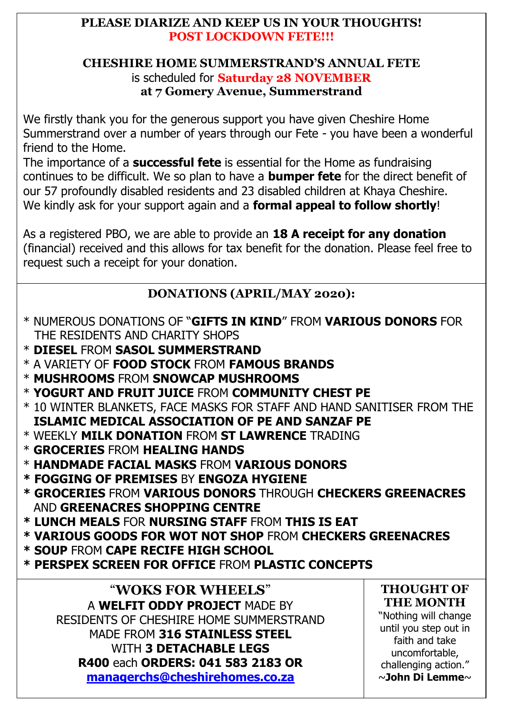### **PLEASE DIARIZE AND KEEP US IN YOUR THOUGHTS! POST LOCKDOWN FETE!!!**

#### **CHESHIRE HOME SUMMERSTRAND'S ANNUAL FETE** is scheduled for **Saturday 28 NOVEMBER at 7 Gomery Avenue, Summerstrand**

We firstly thank you for the generous support you have given Cheshire Home Summerstrand over a number of years through our Fete - you have been a wonderful friend to the Home.

The importance of a **successful fete** is essential for the Home as fundraising continues to be difficult. We so plan to have a **bumper fete** for the direct benefit of our 57 profoundly disabled residents and 23 disabled children at Khaya Cheshire. We kindly ask for your support again and a **formal appeal to follow shortly**!

As a registered PBO, we are able to provide an **18 A receipt for any donation**  (financial) received and this allows for tax benefit for the donation. Please feel free to request such a receipt for your donation.

## **DONATIONS (APRIL/MAY 2020):**

- \* NUMEROUS DONATIONS OF "**GIFTS IN KIND**" FROM **VARIOUS DONORS** FOR THE RESIDENTS AND CHARITY SHOPS
- \* **DIESEL** FROM **SASOL SUMMERSTRAND**
- \* A VARIETY OF **FOOD STOCK** FROM **FAMOUS BRANDS**
- \* **MUSHROOMS** FROM **SNOWCAP MUSHROOMS**
- \* **YOGURT AND FRUIT JUICE** FROM **COMMUNITY CHEST PE**
- \* 10 WINTER BLANKETS, FACE MASKS FOR STAFF AND HAND SANITISER FROM THE  **ISLAMIC MEDICAL ASSOCIATION OF PE AND SANZAF PE**
- \* WEEKLY **MILK DONATION** FROM **ST LAWRENCE** TRADING
- \* **GROCERIES** FROM **HEALING HANDS**
- \* **HANDMADE FACIAL MASKS** FROM **VARIOUS DONORS**
- **\* FOGGING OF PREMISES** BY **ENGOZA HYGIENE**
- **\* GROCERIES** FROM **VARIOUS DONORS** THROUGH **CHECKERS GREENACRES** AND **GREENACRES SHOPPING CENTRE**
- **\* LUNCH MEALS** FOR **NURSING STAFF** FROM **THIS IS EAT**
- **\* VARIOUS GOODS FOR WOT NOT SHOP** FROM **CHECKERS GREENACRES**
- **\* SOUP** FROM **CAPE RECIFE HIGH SCHOOL**
- **\* PERSPEX SCREEN FOR OFFICE** FROM **PLASTIC CONCEPTS**

"**WOKS FOR WHEELS**" A **WELFIT ODDY PROJECT** MADE BY RESIDENTS OF CHESHIRE HOME SUMMERSTRAND MADE FROM **316 STAINLESS STEEL** WITH **3 DETACHABLE LEGS R400** each **ORDERS: 041 583 2183 OR [managerchs@cheshirehomes.co.za](mailto:managerchs@cheshirehomes.co.za)**

#### **THOUGHT OF THE MONTH**

"Nothing will change until you step out in faith and take uncomfortable, challenging action." ~**John Di Lemme**~